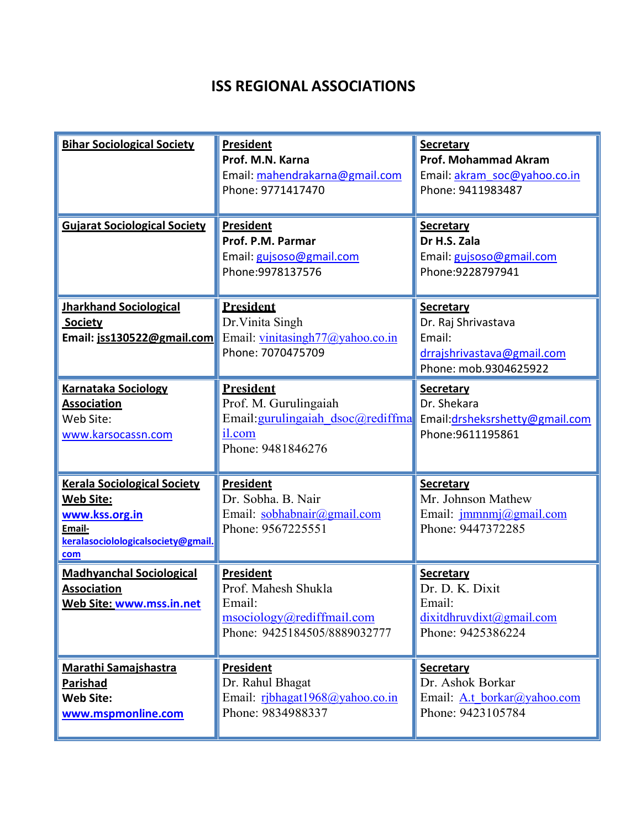## **ISS REGIONAL ASSOCIATIONS**

| <b>Bihar Sociological Society</b>                                                                                          | <b>President</b><br>Prof. M.N. Karna<br>Email: mahendrakarna@gmail.com<br>Phone: 9771417470                    | <b>Secretary</b><br><b>Prof. Mohammad Akram</b><br>Email: akram soc@yahoo.co.in<br>Phone: 9411983487     |
|----------------------------------------------------------------------------------------------------------------------------|----------------------------------------------------------------------------------------------------------------|----------------------------------------------------------------------------------------------------------|
| <b>Gujarat Sociological Society</b>                                                                                        | <b>President</b><br>Prof. P.M. Parmar<br>Email: gujsoso@gmail.com<br>Phone: 9978137576                         | <b>Secretary</b><br>Dr H.S. Zala<br>Email: gujsoso@gmail.com<br>Phone:9228797941                         |
| <b>Jharkhand Sociological</b><br>Society<br>Email: jss130522@gmail.com                                                     | <b>President</b><br>Dr. Vinita Singh<br>Email: vinitasingh77@yahoo.co.in<br>Phone: 7070475709                  | <b>Secretary</b><br>Dr. Raj Shrivastava<br>Email:<br>drrajshrivastava@gmail.com<br>Phone: mob.9304625922 |
| <b>Karnataka Sociology</b><br><b>Association</b><br>Web Site:<br>www.karsocassn.com                                        | <b>President</b><br>Prof. M. Gurulingaiah<br>Email: gurulingaiah dsoc@rediffma<br>il.com<br>Phone: 9481846276  | <b>Secretary</b><br>Dr. Shekara<br>Email:drsheksrshetty@gmail.com<br>Phone: 9611195861                   |
| <b>Kerala Sociological Society</b><br>Web Site:<br>www.kss.org.in<br>Email-<br>keralasociolologicalsociety@gmail.<br>$com$ | <b>President</b><br>Dr. Sobha. B. Nair<br>Email: sobhabnair@gmail.com<br>Phone: 9567225551                     | <b>Secretary</b><br>Mr. Johnson Mathew<br>Email: <i>jmmnmj@gmail.com</i><br>Phone: 9447372285            |
| <b>Madhyanchal Sociological</b><br><b>Association</b><br>Web Site: www.mss.in.net                                          | <b>President</b><br>Prof. Mahesh Shukla<br>Email:<br>msociology@rediffmail.com<br>Phone: 9425184505/8889032777 | <b>Secretary</b><br>Dr. D. K. Dixit<br>Email:<br>dixitdhruvdixt@gmail.com<br>Phone: 9425386224           |
| <b>Marathi Samajshastra</b><br><b>Parishad</b><br><b>Web Site:</b><br>www.mspmonline.com                                   | <b>President</b><br>Dr. Rahul Bhagat<br>Email: ribhagat1968@yahoo.co.in<br>Phone: 9834988337                   | <b>Secretary</b><br>Dr. Ashok Borkar<br>Email: A.t borkar@yahoo.com<br>Phone: 9423105784                 |